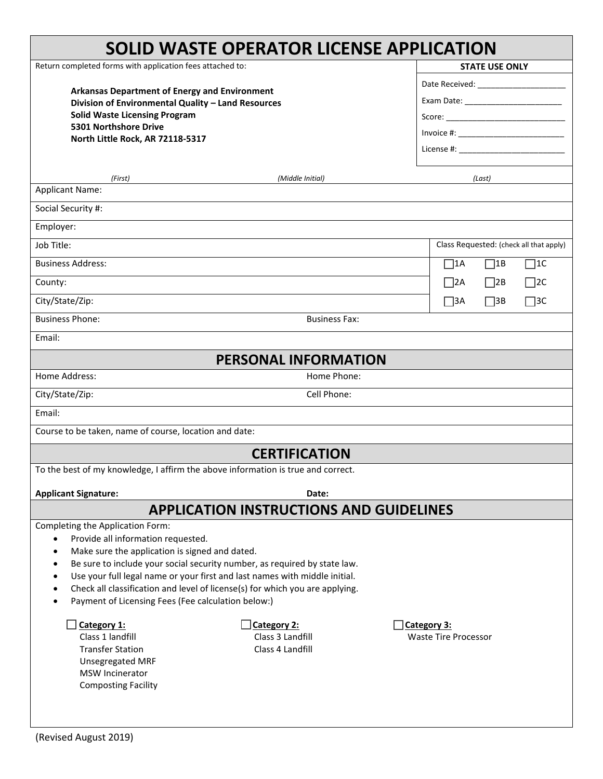|                                                                                                                                                                         | <b>SOLID WASTE OPERATOR LICENSE APPLICATION</b> |                                         |  |
|-------------------------------------------------------------------------------------------------------------------------------------------------------------------------|-------------------------------------------------|-----------------------------------------|--|
| Return completed forms with application fees attached to:<br><b>Arkansas Department of Energy and Environment</b><br>Division of Environmental Quality - Land Resources |                                                 | <b>STATE USE ONLY</b>                   |  |
|                                                                                                                                                                         |                                                 |                                         |  |
|                                                                                                                                                                         |                                                 |                                         |  |
| <b>Solid Waste Licensing Program</b>                                                                                                                                    |                                                 |                                         |  |
| 5301 Northshore Drive<br>North Little Rock, AR 72118-5317                                                                                                               |                                                 |                                         |  |
|                                                                                                                                                                         |                                                 | License #: New York 2014                |  |
|                                                                                                                                                                         |                                                 |                                         |  |
| (First)<br><b>Applicant Name:</b>                                                                                                                                       | (Middle Initial)                                | (Last)                                  |  |
| Social Security #:                                                                                                                                                      |                                                 |                                         |  |
| Employer:                                                                                                                                                               |                                                 |                                         |  |
| Job Title:                                                                                                                                                              |                                                 | Class Requested: (check all that apply) |  |
| <b>Business Address:</b>                                                                                                                                                |                                                 | $\Box$ 1A<br>$\Box$ 1B<br>$\Box$ 1C     |  |
| County:                                                                                                                                                                 |                                                 | $\Box$ 2A<br>$\Box$ 2B<br>$\Box$ 2C     |  |
| City/State/Zip:                                                                                                                                                         |                                                 | $\Box$ 3B<br>$\Box$ 3C<br>$\Box$ 3A     |  |
| <b>Business Phone:</b>                                                                                                                                                  | <b>Business Fax:</b>                            |                                         |  |
| Email:                                                                                                                                                                  |                                                 |                                         |  |
|                                                                                                                                                                         | <b>PERSONAL INFORMATION</b>                     |                                         |  |
| Home Address:                                                                                                                                                           | Home Phone:                                     |                                         |  |
| City/State/Zip:                                                                                                                                                         | Cell Phone:                                     |                                         |  |
| Email:                                                                                                                                                                  |                                                 |                                         |  |
| Course to be taken, name of course, location and date:                                                                                                                  |                                                 |                                         |  |
|                                                                                                                                                                         | <b>CERTIFICATION</b>                            |                                         |  |
| To the best of my knowledge, I affirm the above information is true and correct.                                                                                        |                                                 |                                         |  |
| <b>Applicant Signature:</b>                                                                                                                                             | Date:                                           |                                         |  |
|                                                                                                                                                                         | <b>APPLICATION INSTRUCTIONS AND GUIDELINES</b>  |                                         |  |
| Completing the Application Form:                                                                                                                                        |                                                 |                                         |  |
| Provide all information requested.<br>$\bullet$<br>Make sure the application is signed and dated.<br>$\bullet$                                                          |                                                 |                                         |  |
| Be sure to include your social security number, as required by state law.<br>$\bullet$                                                                                  |                                                 |                                         |  |
| Use your full legal name or your first and last names with middle initial.<br>$\bullet$                                                                                 |                                                 |                                         |  |
| Check all classification and level of license(s) for which you are applying.<br>$\bullet$                                                                               |                                                 |                                         |  |
| Payment of Licensing Fees (Fee calculation below:)                                                                                                                      |                                                 |                                         |  |
| Category 1:                                                                                                                                                             | Category 2:                                     | Category 3:                             |  |
| Class 1 landfill                                                                                                                                                        | Class 3 Landfill                                | <b>Waste Tire Processor</b>             |  |
| <b>Transfer Station</b>                                                                                                                                                 | Class 4 Landfill                                |                                         |  |
| Unsegregated MRF                                                                                                                                                        |                                                 |                                         |  |
| <b>MSW Incinerator</b>                                                                                                                                                  |                                                 |                                         |  |
| <b>Composting Facility</b>                                                                                                                                              |                                                 |                                         |  |
|                                                                                                                                                                         |                                                 |                                         |  |
|                                                                                                                                                                         |                                                 |                                         |  |

٦

Г